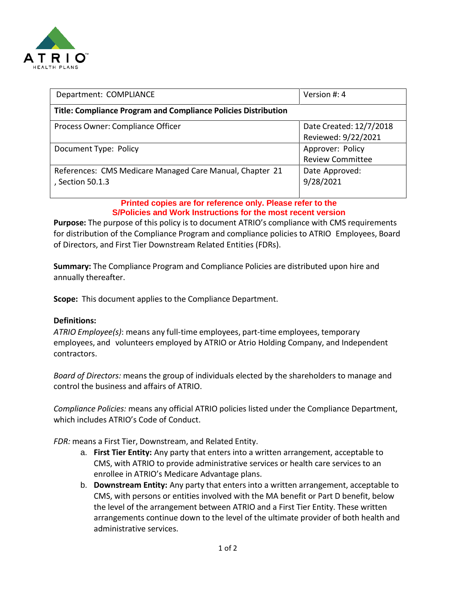

| Department: COMPLIANCE                                                | Version #: 4            |
|-----------------------------------------------------------------------|-------------------------|
| <b>Title: Compliance Program and Compliance Policies Distribution</b> |                         |
| Process Owner: Compliance Officer                                     | Date Created: 12/7/2018 |
|                                                                       | Reviewed: 9/22/2021     |
| Document Type: Policy                                                 | Approver: Policy        |
|                                                                       | <b>Review Committee</b> |
| References: CMS Medicare Managed Care Manual, Chapter 21              | Date Approved:          |
| , Section 50.1.3                                                      | 9/28/2021               |
|                                                                       |                         |

**Printed copies are for reference only. Please refer to the S/Policies and Work Instructions for the most recent version**

**Purpose:** The purpose of this policy is to document ATRIO's compliance with CMS requirements for distribution of the Compliance Program and compliance policies to ATRIO Employees, Board of Directors, and First Tier Downstream Related Entities (FDRs).

**Summary:** The Compliance Program and Compliance Policies are distributed upon hire and annually thereafter.

**Scope:** This document applies to the Compliance Department.

### **Definitions:**

*ATRIO Employee(s)*: means any full-time employees, part-time employees, temporary employees, and volunteers employed by ATRIO or Atrio Holding Company, and Independent contractors.

*Board of Directors:* means the group of individuals elected by the shareholders to manage and control the business and affairs of ATRIO.

*Compliance Policies:* means any official ATRIO policies listed under the Compliance Department, which includes ATRIO's Code of Conduct.

*FDR:* means a First Tier, Downstream, and Related Entity.

- a. **First Tier Entity:** Any party that enters into a written arrangement, acceptable to CMS, with ATRIO to provide administrative services or health care services to an enrollee in ATRIO's Medicare Advantage plans.
- b. **Downstream Entity:** Any party that enters into a written arrangement, acceptable to CMS, with persons or entities involved with the MA benefit or Part D benefit, below the level of the arrangement between ATRIO and a First Tier Entity. These written arrangements continue down to the level of the ultimate provider of both health and administrative services.